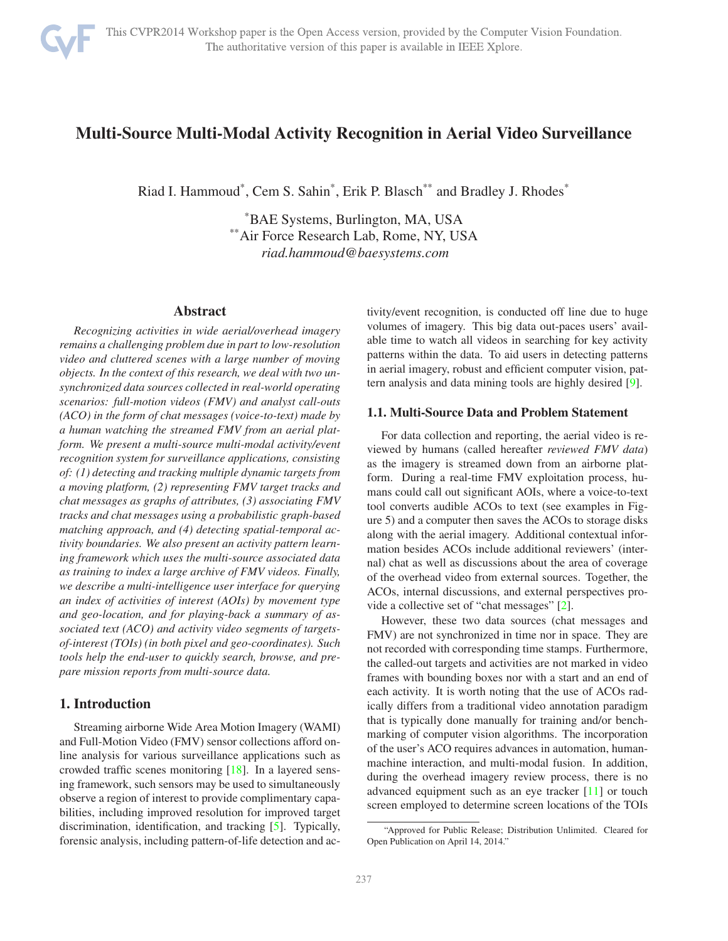

# <span id="page-0-1"></span>Multi-Source Multi-Modal Activity Recognition in Aerial Video Surveillance

Riad I. Hammoud<sup>\*</sup>, Cem S. Sahin<sup>\*</sup>, Erik P. Blasch<sup>\*\*</sup> and Bradley J. Rhodes<sup>\*</sup>

\*BAE Systems, Burlington, MA, USA \*\*Air Force Research Lab, Rome, NY, USA *riad.hammoud@baesystems.com*

#### Abstract

*Recognizing activities in wide aerial/overhead imagery remains a challenging problem due in part to low-resolution video and cluttered scenes with a large number of moving objects. In the context of this research, we deal with two unsynchronized data sources collected in real-world operating scenarios: full-motion videos (FMV) and analyst call-outs (ACO) in the form of chat messages (voice-to-text) made by a human watching the streamed FMV from an aerial platform. We present a multi-source multi-modal activity/event recognition system for surveillance applications, consisting of: (1) detecting and tracking multiple dynamic targets from a moving platform, (2) representing FMV target tracks and chat messages as graphs of attributes, (3) associating FMV tracks and chat messages using a probabilistic graph-based matching approach, and (4) detecting spatial-temporal activity boundaries. We also present an activity pattern learning framework which uses the multi-source associated data as training to index a large archive of FMV videos. Finally, we describe a multi-intelligence user interface for querying an index of activities of interest (AOIs) by movement type and geo-location, and for playing-back a summary of associated text (ACO) and activity video segments of targetsof-interest (TOIs) (in both pixel and geo-coordinates). Such tools help the end-user to quickly search, browse, and prepare mission reports from multi-source data.*

## 1. Introduction

Streaming airborne Wide Area Motion Imagery (WAMI) and Full-Motion Video (FMV) sensor collections afford online analysis for various surveillance applications such as crowded traffic scenes monitoring [\[18\]](#page-7-0). In a layered sensing framework, such sensors may be used to simultaneously observe a region of interest to provide complimentary capabilities, including improved resolution for improved target discrimination, identification, and tracking [\[5\]](#page-7-1). Typically, forensic analysis, including pattern-of-life detection and activity/event recognition, is conducted off line due to huge volumes of imagery. This big data out-paces users' available time to watch all videos in searching for key activity patterns within the data. To aid users in detecting patterns in aerial imagery, robust and efficient computer vision, pattern analysis and data mining tools are highly desired [\[9\]](#page-7-2).

## 1.1. Multi-Source Data and Problem Statement

For data collection and reporting, the aerial video is reviewed by humans (called hereafter *reviewed FMV data*) as the imagery is streamed down from an airborne platform. During a real-time FMV exploitation process, humans could call out significant AOIs, where a voice-to-text tool converts audible ACOs to text (see examples in Figure 5) and a computer then saves the ACOs to storage disks along with the aerial imagery. Additional contextual information besides ACOs include additional reviewers' (internal) chat as well as discussions about the area of coverage of the overhead video from external sources. Together, the ACOs, internal discussions, and external perspectives provide a collective set of "chat messages" [\[2\]](#page-7-3).

However, these two data sources (chat messages and FMV) are not synchronized in time nor in space. They are not recorded with corresponding time stamps. Furthermore, the called-out targets and activities are not marked in video frames with bounding boxes nor with a start and an end of each activity. It is worth noting that the use of ACOs radically differs from a traditional video annotation paradigm that is typically done manually for training and/or benchmarking of computer vision algorithms. The incorporation of the user's ACO requires advances in automation, humanmachine interaction, and multi-modal fusion. In addition, during the overhead imagery review process, there is no advanced equipment such as an eye tracker [\[11\]](#page-7-4) or touch screen employed to determine screen locations of the TOIs

<span id="page-0-0"></span><sup>&</sup>quot;Approved for Public Release; Distribution Unlimited. Cleared for Open Publication on April 14, 2014."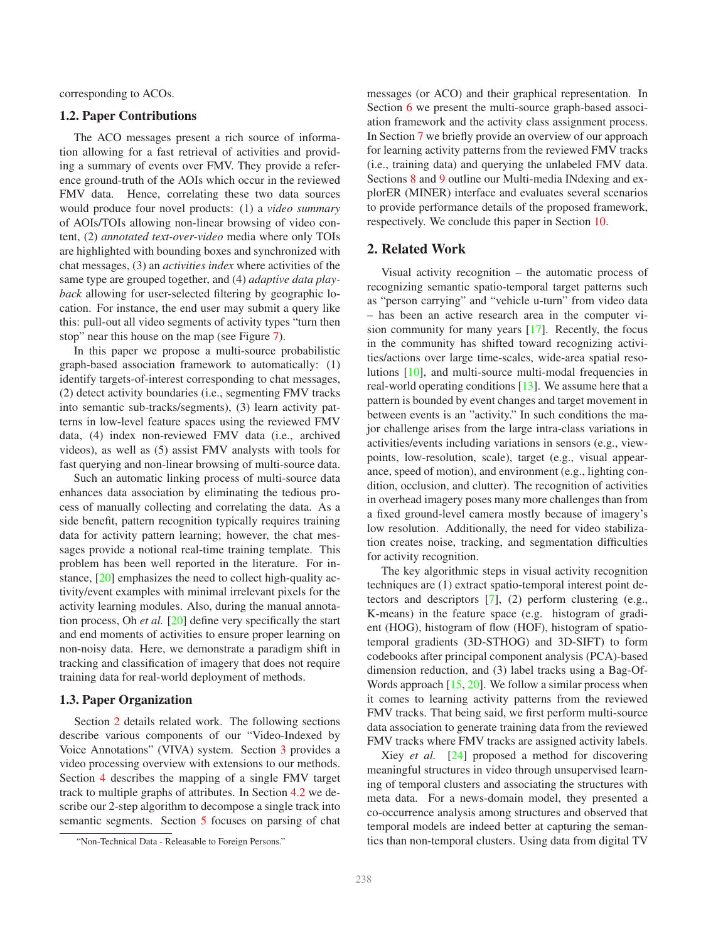<span id="page-1-2"></span>corresponding to ACOs.

## 1.2. Paper Contributions

The ACO messages present a rich source of information allowing for a fast retrieval of activities and providing a summary of events over FMV. They provide a reference ground-truth of the AOIs which occur in the reviewed FMV data. Hence, correlating these two data sources would produce four novel products: (1) a *video summary* of AOIs/TOIs allowing non-linear browsing of video content, (2) *annotated text-over-video* media where only TOIs are highlighted with bounding boxes and synchronized with chat messages, (3) an *activities index* where activities of the same type are grouped together, and (4) *adaptive data playback* allowing for user-selected filtering by geographic location. For instance, the end user may submit a query like this: pull-out all video segments of activity types "turn then stop" near this house on the map (see Figure [7\)](#page-6-0).

In this paper we propose a multi-source probabilistic graph-based association framework to automatically: (1) identify targets-of-interest corresponding to chat messages, (2) detect activity boundaries (i.e., segmenting FMV tracks into semantic sub-tracks/segments), (3) learn activity patterns in low-level feature spaces using the reviewed FMV data, (4) index non-reviewed FMV data (i.e., archived videos), as well as (5) assist FMV analysts with tools for fast querying and non-linear browsing of multi-source data.

Such an automatic linking process of multi-source data enhances data association by eliminating the tedious process of manually collecting and correlating the data. As a side benefit, pattern recognition typically requires training data for activity pattern learning; however, the chat messages provide a notional real-time training template. This problem has been well reported in the literature. For instance, [\[20\]](#page-7-5) emphasizes the need to collect high-quality activity/event examples with minimal irrelevant pixels for the activity learning modules. Also, during the manual annotation process, Oh *et al.* [\[20\]](#page-7-5) define very specifically the start and end moments of activities to ensure proper learning on non-noisy data. Here, we demonstrate a paradigm shift in tracking and classification of imagery that does not require training data for real-world deployment of methods.

#### 1.3. Paper Organization

[S](#page-1-0)ection [2](#page-1-1) details related work. The following sections describe various components of our "Video-Indexed by Voice Annotations" (VIVA) system. Section [3](#page-2-0) provides a video processing overview with extensions to our methods. Section [4](#page-2-1) describes the mapping of a single FMV target track to multiple graphs of attributes. In Section [4.2](#page-3-0) we describe our 2-step algorithm to decompose a single track into semantic segments. Section [5](#page-3-1) focuses on parsing of chat messages (or ACO) and their graphical representation. In Section [6](#page-4-0) we present the multi-source graph-based association framework and the activity class assignment process. In Section [7](#page-5-0) we briefly provide an overview of our approach for learning activity patterns from the reviewed FMV tracks (i.e., training data) and querying the unlabeled FMV data. Sections [8](#page-5-1) and [9](#page-5-2) outline our Multi-media INdexing and explorER (MINER) interface and evaluates several scenarios to provide performance details of the proposed framework, respectively. We conclude this paper in Section [10.](#page-7-6)

#### <span id="page-1-1"></span>2. Related Work

Visual activity recognition – the automatic process of recognizing semantic spatio-temporal target patterns such as "person carrying" and "vehicle u-turn" from video data – has been an active research area in the computer vision community for many years [\[17\]](#page-7-7). Recently, the focus in the community has shifted toward recognizing activities/actions over large time-scales, wide-area spatial resolutions [\[10\]](#page-7-8), and multi-source multi-modal frequencies in real-world operating conditions [\[13\]](#page-7-9). We assume here that a pattern is bounded by event changes and target movement in between events is an "activity." In such conditions the major challenge arises from the large intra-class variations in activities/events including variations in sensors (e.g., viewpoints, low-resolution, scale), target (e.g., visual appearance, speed of motion), and environment (e.g., lighting condition, occlusion, and clutter). The recognition of activities in overhead imagery poses many more challenges than from a fixed ground-level camera mostly because of imagery's low resolution. Additionally, the need for video stabilization creates noise, tracking, and segmentation difficulties for activity recognition.

The key algorithmic steps in visual activity recognition techniques are (1) extract spatio-temporal interest point detectors and descriptors [\[7\]](#page-7-10), (2) perform clustering (e.g., K-means) in the feature space (e.g. histogram of gradient (HOG), histogram of flow (HOF), histogram of spatiotemporal gradients (3D-STHOG) and 3D-SIFT) to form codebooks after principal component analysis (PCA)-based dimension reduction, and (3) label tracks using a Bag-Of-Words approach [\[15,](#page-7-11) [20\]](#page-7-5). We follow a similar process when it comes to learning activity patterns from the reviewed FMV tracks. That being said, we first perform multi-source data association to generate training data from the reviewed FMV tracks where FMV tracks are assigned activity labels.

Xiey *et al.* [\[24\]](#page-7-12) proposed a method for discovering meaningful structures in video through unsupervised learning of temporal clusters and associating the structures with meta data. For a news-domain model, they presented a co-occurrence analysis among structures and observed that temporal models are indeed better at capturing the semantics than non-temporal clusters. Using data from digital TV

<span id="page-1-0"></span><sup>&</sup>quot;Non-Technical Data - Releasable to Foreign Persons."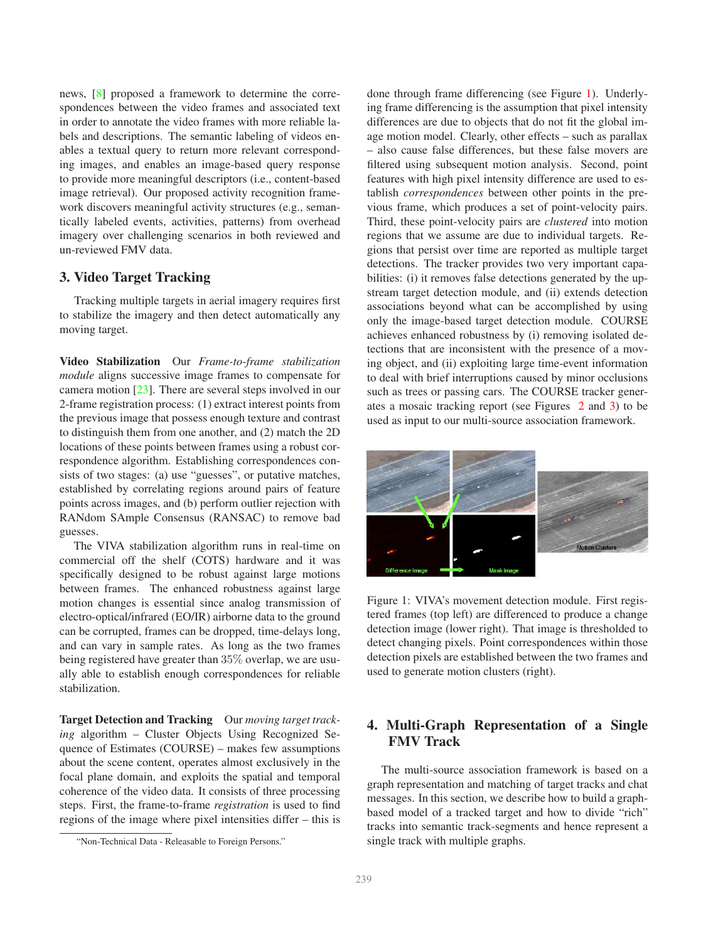<span id="page-2-4"></span>news, [\[8\]](#page-7-13) proposed a framework to determine the correspondences between the video frames and associated text in order to annotate the video frames with more reliable labels and descriptions. The semantic labeling of videos enables a textual query to return more relevant corresponding images, and enables an image-based query response to provide more meaningful descriptors (i.e., content-based image retrieval). Our proposed activity recognition framework discovers meaningful activity structures (e.g., semantically labeled events, activities, patterns) from overhead imagery over challenging scenarios in both reviewed and un-reviewed FMV data.

## <span id="page-2-0"></span>3. Video Target Tracking

[T](#page-2-2)racking multiple targets in aerial imagery requires first to stabilize the imagery and then detect automatically any moving target.

Video Stabilization Our *Frame-to-frame stabilization module* aligns successive image frames to compensate for camera motion [\[23\]](#page-7-14). There are several steps involved in our 2-frame registration process: (1) extract interest points from the previous image that possess enough texture and contrast to distinguish them from one another, and (2) match the 2D locations of these points between frames using a robust correspondence algorithm. Establishing correspondences consists of two stages: (a) use "guesses", or putative matches, established by correlating regions around pairs of feature points across images, and (b) perform outlier rejection with RANdom SAmple Consensus (RANSAC) to remove bad guesses.

The VIVA stabilization algorithm runs in real-time on commercial off the shelf (COTS) hardware and it was specifically designed to be robust against large motions between frames. The enhanced robustness against large motion changes is essential since analog transmission of electro-optical/infrared (EO/IR) airborne data to the ground can be corrupted, frames can be dropped, time-delays long, and can vary in sample rates. As long as the two frames being registered have greater than 35% overlap, we are usually able to establish enough correspondences for reliable stabilization.

Target Detection and Tracking Our *moving target tracking* algorithm – Cluster Objects Using Recognized Sequence of Estimates (COURSE) – makes few assumptions about the scene content, operates almost exclusively in the focal plane domain, and exploits the spatial and temporal coherence of the video data. It consists of three processing steps. First, the frame-to-frame *registration* is used to find regions of the image where pixel intensities differ – this is done through frame differencing (see Figure [1\)](#page-2-3). Underlying frame differencing is the assumption that pixel intensity differences are due to objects that do not fit the global image motion model. Clearly, other effects – such as parallax – also cause false differences, but these false movers are filtered using subsequent motion analysis. Second, point features with high pixel intensity difference are used to establish *correspondences* between other points in the previous frame, which produces a set of point-velocity pairs. Third, these point-velocity pairs are *clustered* into motion regions that we assume are due to individual targets. Regions that persist over time are reported as multiple target detections. The tracker provides two very important capabilities: (i) it removes false detections generated by the upstream target detection module, and (ii) extends detection associations beyond what can be accomplished by using only the image-based target detection module. COURSE achieves enhanced robustness by (i) removing isolated detections that are inconsistent with the presence of a moving object, and (ii) exploiting large time-event information to deal with brief interruptions caused by minor occlusions such as trees or passing cars. The COURSE tracker generates a mosaic tracking report (see Figures [2](#page-3-2) and [3\)](#page-3-3) to be used as input to our multi-source association framework.

<span id="page-2-3"></span>

Figure 1: VIVA's movement detection module. First registered frames (top left) are differenced to produce a change detection image (lower right). That image is thresholded to detect changing pixels. Point correspondences within those detection pixels are established between the two frames and used to generate motion clusters (right).

## <span id="page-2-1"></span>4. Multi-Graph Representation of a Single FMV Track

The multi-source association framework is based on a graph representation and matching of target tracks and chat messages. In this section, we describe how to build a graphbased model of a tracked target and how to divide "rich" tracks into semantic track-segments and hence represent a single track with multiple graphs.

<span id="page-2-2"></span><sup>&</sup>quot;Non-Technical Data - Releasable to Foreign Persons."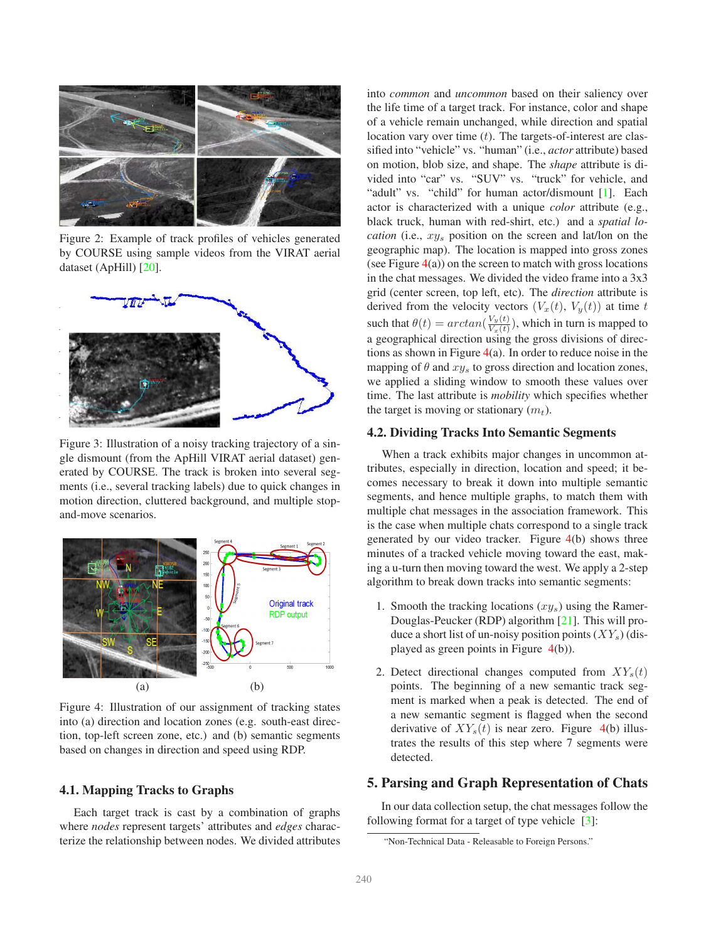<span id="page-3-6"></span><span id="page-3-2"></span>

Figure 2: Example of track profiles of vehicles generated by COURSE using sample videos from the VIRAT aerial dataset (ApHill) [\[20\]](#page-7-5).

<span id="page-3-3"></span>

Figure 3: Illustration of a noisy tracking trajectory of a single dismount (from the ApHill VIRAT aerial dataset) generated by COURSE. The track is broken into several segments (i.e., several tracking labels) due to quick changes in motion direction, cluttered background, and multiple stopand-move scenarios.

<span id="page-3-4"></span>

Figure 4: Illustration of our assignment of tracking states into (a) direction and location zones (e.g. south-east direction, top-left screen zone, etc.) and (b) semantic segments based on changes in direction and speed using RDP.

### <span id="page-3-5"></span>4.1. Mapping Tracks to Graphs

Each target track is cast by a combination of graphs where *nodes* represent targets' attributes and *edges* characterize the relationship between nodes. We divided attributes into *common* and *uncommon* based on their saliency over the life time of a target track. For instance, color and shape of a vehicle remain unchanged, while direction and spatial location vary over time  $(t)$ . The targets-of-interest are classified into "vehicle" vs. "human" (i.e., *actor* attribute) based on motion, blob size, and shape. The *shape* attribute is divided into "car" vs. "SUV" vs. "truck" for vehicle, and "adult" vs. "child" for human actor/dismount [\[1\]](#page-7-15). Each actor is characterized with a unique *color* attribute (e.g., black truck, human with red-shirt, etc.) and a *spatial location* (i.e., xy<sup>s</sup> position on the screen and lat/lon on the geographic map). The location is mapped into gross zones (see Figure  $4(a)$  $4(a)$ ) on the screen to match with gross locations in the chat messages. We divided the video frame into a 3x3 grid (center screen, top left, etc). The *direction* attribute is derived from the velocity vectors  $(V_x(t), V_y(t))$  at time t such that  $\theta(t) = \arctan(\frac{V_y(t)}{V_x(t)})$  $\frac{V_y(t)}{V_x(t)}$ , which in turn is mapped to a geographical direction using the gross divisions of directions as shown in Figure [4\(](#page-3-4)a). In order to reduce noise in the mapping of  $\theta$  and  $xy_s$  to gross direction and location zones, we applied a sliding window to smooth these values over time. The last attribute is *mobility* which specifies whether the target is moving or stationary  $(m_t)$ .

#### <span id="page-3-0"></span>4.2. Dividing Tracks Into Semantic Segments

When a track exhibits major changes in uncommon attributes, especially in direction, location and speed; it becomes necessary to break it down into multiple semantic segments, and hence multiple graphs, to match them with multiple chat messages in the association framework. This is the case when multiple chats correspond to a single track generated by our video tracker. Figure [4\(](#page-3-4)b) shows three minutes of a tracked vehicle moving toward the east, making a u-turn then moving toward the west. We apply a 2-step algorithm to break down tracks into semantic segments:

- 1. Smooth the tracking locations  $(xy_s)$  using the Ramer-Douglas-Peucker (RDP) algorithm [\[21\]](#page-7-16). This will produce a short list of un-noisy position points  $(XY_s)$  (displayed as green points in Figure  $4(b)$  $4(b)$ ).
- 2. Detect directional changes computed from  $XY_s(t)$ points. The beginning of a new semantic track segment is marked when a peak is detected. The end of a new semantic segment is flagged when the second derivative of  $XY_s(t)$  is near zero. Figure [4\(](#page-3-4)b) illustrates the results of this step where 7 segments were detected.

## <span id="page-3-1"></span>5. Parsing and Graph Representation of Chats

In our data collection setup, the chat messages follow the following format for a target of type vehicle [\[3\]](#page-7-17):

<sup>&</sup>quot;Non-Technical Data - Releasable to Foreign Persons."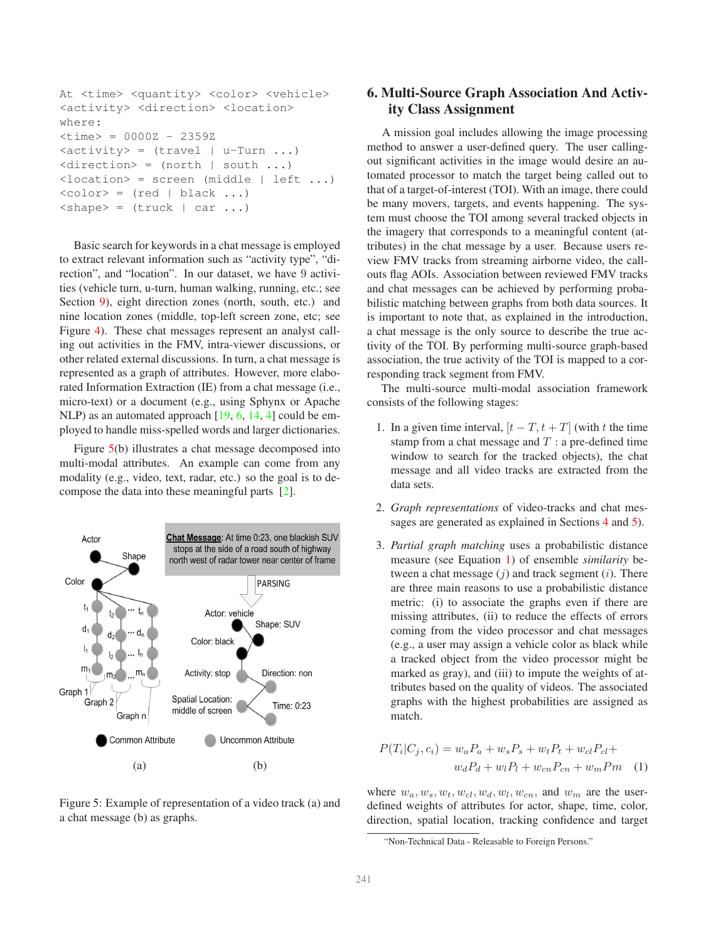```
At <time> <quantity> <color> <vehicle>
<activity> <direction> <location>
where:
\timestime> = 0000Z - 2359Z
\langle \text{activity} \rangle = (\text{travel} | u - \text{Turn} ...)\langledirection> = (north | south ...)
<location> = screen (middle | left ...)
\langle color \rangle = (red \mid black \dots)\langleshape> = (truck | car ...)
```
Basic search for keywords in a chat message is employed to extract relevant information such as "activity type", "direction", and "location". In our dataset, we have 9 activities (vehicle turn, u-turn, human walking, running, etc.; see Section [9\)](#page-5-2), eight direction zones (north, south, etc.) and nine location zones (middle, top-left screen zone, etc; see Figure [4\)](#page-3-4). These chat messages represent an analyst calling out activities in the FMV, intra-viewer discussions, or other related external discussions. In turn, a chat message is represented as a graph of attributes. However, more elaborated Information Extraction (IE) from a chat message (i.e., micro-text) or a document (e.g., using Sphynx or Apache NLP) as an automated approach [\[19,](#page-7-18) [6,](#page-7-19) [14,](#page-7-20) [4\]](#page-7-21) could be employed to handle miss-spelled words and larger dictionaries.

Figure [5\(](#page-4-1)b) illustrates a chat message decomposed into multi-modal attributes. An example can come from any modality (e.g., video, text, radar, etc.) so the goal is to decompose the data into these meaningful parts [\[2\]](#page-7-3).

<span id="page-4-1"></span>

Figure 5: Example of representation of a video track (a) and a chat message (b) as graphs.

## <span id="page-4-0"></span>6. Multi-Source Graph Association And Activity Class Assignment

A mission goal includes allowing the image processing method to answer a user-defined query. The user callingout significant activities in the image would desire an automated processor to match the target being called out to that of a target-of-interest (TOI). With an image, there could be many movers, targets, and events happening. The system must choose the TOI among several tracked objects in the imagery that corresponds to a meaningful content (attributes) in the chat message by a user. Because users review FMV tracks from streaming airborne video, the callouts flag AOIs. Association between reviewed FMV tracks and chat messages can be achieved by performing probabilistic matching between graphs from both data sources. It is important to note that, as explained in the introduction, a chat message is the only source to describe the true activity of the TOI. By performing multi-source graph-based association, the true activity of the TOI is mapped to a corresponding track segment from FMV.

The multi-source multi-modal association framework consists of the following stages:

- 1. In a given time interval,  $[t T, t + T]$  (with t the time stamp from a chat message and  $T:$  a pre-defined time window to search for the tracked objects), the chat message and all video tracks are extracted from the data sets.
- 2. *Graph representations* of video-tracks and chat messages are generated as explained in Sections [4](#page-2-1) and [5\)](#page-3-1).
- 3. *Partial graph matching* uses a probabilistic distance measure (see Equation [1\)](#page-4-2) of ensemble *similarity* between a chat message  $(i)$  and track segment  $(i)$ . There are three main reasons to use a probabilistic distance metric: (i) to associate the graphs even if there are missing attributes, (ii) to reduce the effects of errors coming from the video processor and chat messages (e.g., a user may assign a vehicle color as black while a tracked object from the video processor might be marked as gray), and (iii) to impute the weights of attributes based on the quality of videos. The associated graphs with the highest probabilities are assigned as match.

<span id="page-4-2"></span>
$$
P(T_i|C_j, c_i) = w_a P_a + w_s P_s + w_t P_t + w_{cl} P_{cl} +
$$
  

$$
w_d P_d + w_l P_l + w_{cn} P_{cn} + w_m P_m \quad (1)
$$

where  $w_a, w_s, w_t, w_{cl}, w_d, w_l, w_{cn}$ , and  $w_m$  are the userdefined weights of attributes for actor, shape, time, color, direction, spatial location, tracking confidence and target

<sup>&</sup>quot;Non-Technical Data - Releasable to Foreign Persons."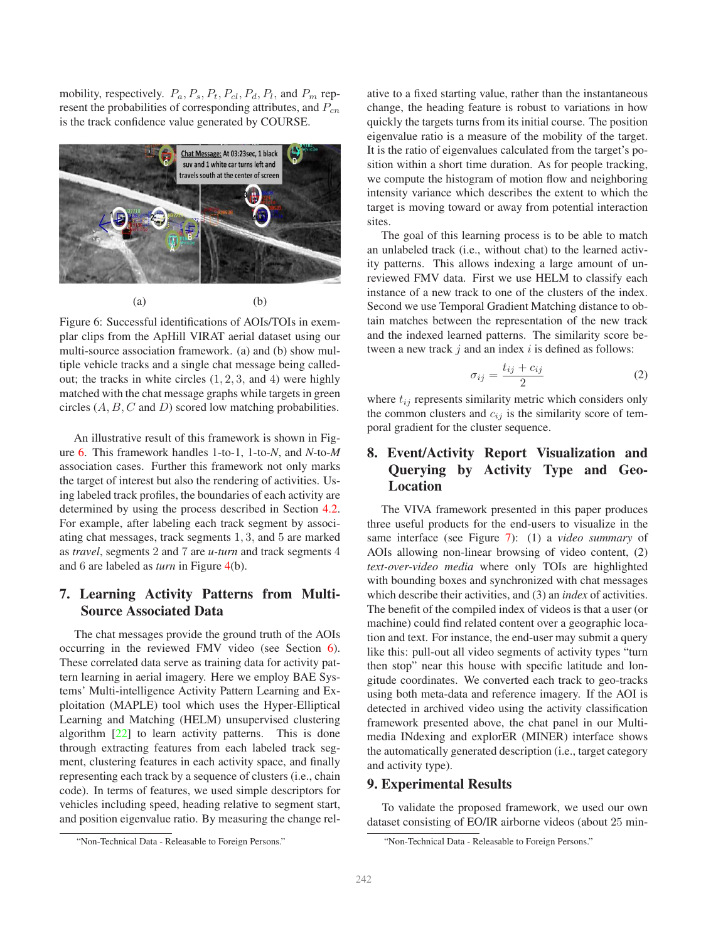<span id="page-5-5"></span>mobility, respectively.  $P_a$ ,  $P_s$ ,  $P_t$ ,  $P_{cl}$ ,  $P_d$ ,  $P_l$ , and  $P_m$  represent the probabilities of corresponding attributes, and  $P_{cn}$ is the track confidence value generated by COURSE.

<span id="page-5-3"></span>

Figure 6: Successful identifications of AOIs/TOIs in exemplar clips from the ApHill VIRAT aerial dataset using our multi-source association framework. (a) and (b) show multiple vehicle tracks and a single chat message being calledout; the tracks in white circles  $(1, 2, 3, 4)$  were highly matched with the chat message graphs while targets in green circles  $(A, B, C \text{ and } D)$  scored low matching probabilities.

An illustrative result of this framework is shown in Figure [6.](#page-5-3) This framework handles 1-to-1, 1-to-*N*, and *N*-to-*M* association cases. Further this framework not only marks the target of interest but also the rendering of activities. Using labeled track profiles, the boundaries of each activity are determined by using the process described in Section [4.2.](#page-3-0) For example, after labeling each track segment by associating chat messages, track segments 1, 3, and 5 are marked as *travel*, segments 2 and 7 are *u-turn* and track segments 4 and 6 are labeled as *turn* in Figure [4\(](#page-3-4)b).

## <span id="page-5-0"></span>7. Learning Activity Patterns from Multi-Source Associated Data

[T](#page-5-4)he chat messages provide the ground truth of the AOIs occurring in the reviewed FMV video (see Section [6\)](#page-4-0). These correlated data serve as training data for activity pattern learning in aerial imagery. Here we employ BAE Systems' Multi-intelligence Activity Pattern Learning and Exploitation (MAPLE) tool which uses the Hyper-Elliptical Learning and Matching (HELM) unsupervised clustering algorithm  $[22]$  to learn activity patterns. This is done through extracting features from each labeled track segment, clustering features in each activity space, and finally representing each track by a sequence of clusters (i.e., chain code). In terms of features, we used simple descriptors for vehicles including speed, heading relative to segment start, and position eigenvalue ratio. By measuring the change relative to a fixed starting value, rather than the instantaneous change, the heading feature is robust to variations in how quickly the targets turns from its initial course. The position eigenvalue ratio is a measure of the mobility of the target. It is the ratio of eigenvalues calculated from the target's position within a short time duration. As for people tracking, we compute the histogram of motion flow and neighboring intensity variance which describes the extent to which the target is moving toward or away from potential interaction sites.

The goal of this learning process is to be able to match an unlabeled track (i.e., without chat) to the learned activity patterns. This allows indexing a large amount of unreviewed FMV data. First we use HELM to classify each instance of a new track to one of the clusters of the index. Second we use Temporal Gradient Matching distance to obtain matches between the representation of the new track and the indexed learned patterns. The similarity score between a new track  $j$  and an index  $i$  is defined as follows:

$$
\sigma_{ij} = \frac{t_{ij} + c_{ij}}{2} \tag{2}
$$

where  $t_{ij}$  represents similarity metric which considers only the common clusters and  $c_{ij}$  is the similarity score of temporal gradient for the cluster sequence.

# <span id="page-5-1"></span>8. Event/Activity Report Visualization and Querying by Activity Type and Geo-Location

The VIVA framework presented in this paper produces three useful products for the end-users to visualize in the same interface (see Figure [7\)](#page-6-0): (1) a *video summary* of AOIs allowing non-linear browsing of video content, (2) *text-over-video media* where only TOIs are highlighted with bounding boxes and synchronized with chat messages which describe their activities, and (3) an *index* of activities. The benefit of the compiled index of videos is that a user (or machine) could find related content over a geographic location and text. For instance, the end-user may submit a query like this: pull-out all video segments of activity types "turn then stop" near this house with specific latitude and longitude coordinates. We converted each track to geo-tracks using both meta-data and reference imagery. If the AOI is detected in archived video using the activity classification framework presented above, the chat panel in our Multimedia INdexing and explorER (MINER) interface shows the automatically generated description (i.e., target category and activity type).

## <span id="page-5-2"></span>9. Experimental Results

To validate the proposed framework, we used our own dataset consisting of EO/IR airborne videos (about 25 min-

<span id="page-5-4"></span><sup>&</sup>quot;Non-Technical Data - Releasable to Foreign Persons."

<sup>&</sup>quot;Non-Technical Data - Releasable to Foreign Persons."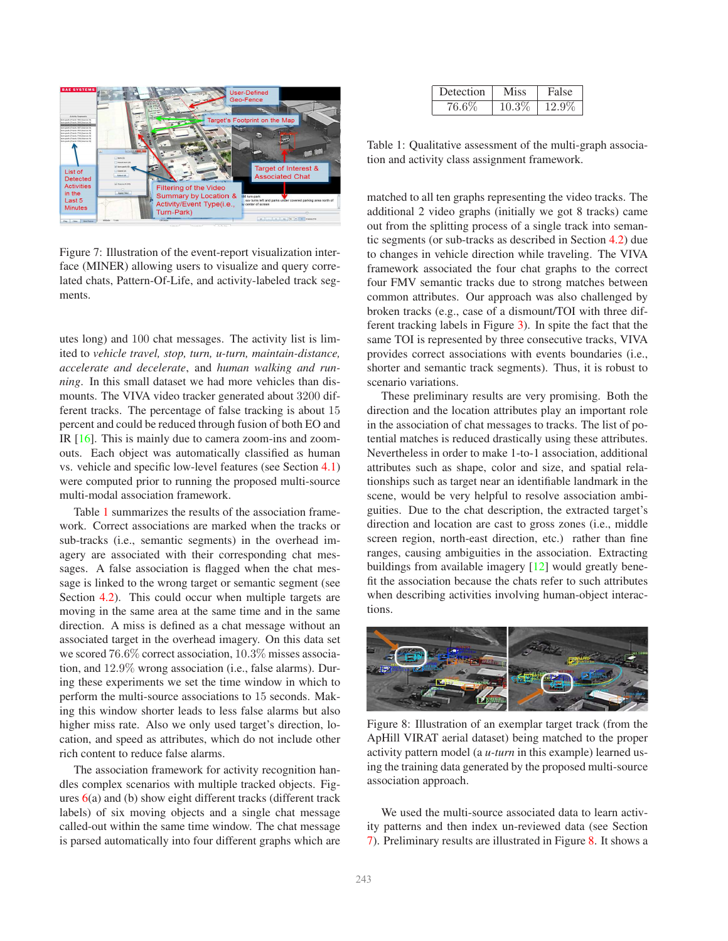<span id="page-6-3"></span><span id="page-6-0"></span>

Figure 7: Illustration of the event-report visualization interface (MINER) allowing users to visualize and query correlated chats, Pattern-Of-Life, and activity-labeled track segments.

utes long) and 100 chat messages. The activity list is limited to *vehicle travel, stop, turn, u-turn, maintain-distance, accelerate and decelerate*, and *human walking and running*. In this small dataset we had more vehicles than dismounts. The VIVA video tracker generated about 3200 different tracks. The percentage of false tracking is about 15 percent and could be reduced through fusion of both EO and IR [\[16\]](#page-7-23). This is mainly due to camera zoom-ins and zoomouts. Each object was automatically classified as human vs. vehicle and specific low-level features (see Section [4.1\)](#page-3-5) were computed prior to running the proposed multi-source multi-modal association framework.

Table [1](#page-6-1) summarizes the results of the association framework. Correct associations are marked when the tracks or sub-tracks (i.e., semantic segments) in the overhead imagery are associated with their corresponding chat messages. A false association is flagged when the chat message is linked to the wrong target or semantic segment (see Section [4.2\)](#page-3-0). This could occur when multiple targets are moving in the same area at the same time and in the same direction. A miss is defined as a chat message without an associated target in the overhead imagery. On this data set we scored 76.6% correct association, 10.3% misses association, and 12.9% wrong association (i.e., false alarms). During these experiments we set the time window in which to perform the multi-source associations to 15 seconds. Making this window shorter leads to less false alarms but also higher miss rate. Also we only used target's direction, location, and speed as attributes, which do not include other rich content to reduce false alarms.

The association framework for activity recognition handles complex scenarios with multiple tracked objects. Figures [6\(](#page-5-3)a) and (b) show eight different tracks (different track labels) of six moving objects and a single chat message called-out within the same time window. The chat message is parsed automatically into four different graphs which are

<span id="page-6-1"></span>

| Detection | Miss     | False |
|-----------|----------|-------|
| 76.6%     | $10.3\%$ | 12.9% |

Table 1: Qualitative assessment of the multi-graph association and activity class assignment framework.

matched to all ten graphs representing the video tracks. The additional 2 video graphs (initially we got 8 tracks) came out from the splitting process of a single track into semantic segments (or sub-tracks as described in Section [4.2\)](#page-3-0) due to changes in vehicle direction while traveling. The VIVA framework associated the four chat graphs to the correct four FMV semantic tracks due to strong matches between common attributes. Our approach was also challenged by broken tracks (e.g., case of a dismount/TOI with three different tracking labels in Figure [3\)](#page-3-3). In spite the fact that the same TOI is represented by three consecutive tracks, VIVA provides correct associations with events boundaries (i.e., shorter and semantic track segments). Thus, it is robust to scenario variations.

These preliminary results are very promising. Both the direction and the location attributes play an important role in the association of chat messages to tracks. The list of potential matches is reduced drastically using these attributes. Nevertheless in order to make 1-to-1 association, additional attributes such as shape, color and size, and spatial relationships such as target near an identifiable landmark in the scene, would be very helpful to resolve association ambiguities. Due to the chat description, the extracted target's direction and location are cast to gross zones (i.e., middle screen region, north-east direction, etc.) rather than fine ranges, causing ambiguities in the association. Extracting buildings from available imagery [\[12\]](#page-7-24) would greatly benefit the association because the chats refer to such attributes when describing activities involving human-object interactions.

<span id="page-6-2"></span>

Figure 8: Illustration of an exemplar target track (from the ApHill VIRAT aerial dataset) being matched to the proper activity pattern model (a *u-turn* in this example) learned using the training data generated by the proposed multi-source association approach.

We used the multi-source associated data to learn activity patterns and then index un-reviewed data (see Section [7\)](#page-5-0). Preliminary results are illustrated in Figure [8.](#page-6-2) It shows a